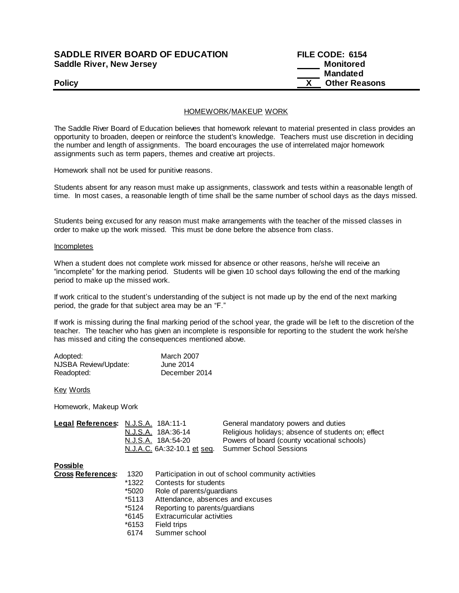## **SADDLE RIVER BOARD OF EDUCATION Saddle River, New Jersey**

| <b>SADDLE RIVER BOARD OF EDUCATION</b> | FILE CODE: 6154      |
|----------------------------------------|----------------------|
| Saddle River, New Jersey               | Monitored            |
|                                        | <b>Mandated</b>      |
| <b>Policy</b>                          | <b>Other Reasons</b> |

### HOMEWORK/MAKEUP WORK

The Saddle River Board of Education believes that homework relevant to material presented in class provides an opportunity to broaden, deepen or reinforce the student's knowledge. Teachers must use discretion in deciding the number and length of assignments. The board encourages the use of interrelated major homework assignments such as term papers, themes and creative art projects.

Homework shall not be used for punitive reasons.

Students absent for any reason must make up assignments, classwork and tests within a reasonable length of time. In most cases, a reasonable length of time shall be the same number of school days as the days missed.

Students being excused for any reason must make arrangements with the teacher of the missed classes in order to make up the work missed. This must be done before the absence from class.

#### Incompletes

When a student does not complete work missed for absence or other reasons, he/she will receive an "incomplete" for the marking period. Students will be given 10 school days following the end of the marking period to make up the missed work.

If work critical to the student's understanding of the subject is not made up by the end of the next marking period, the grade for that subject area may be an "F."

If work is missing during the final marking period of the school year, the grade will be left to the discretion of the teacher. The teacher who has given an incomplete is responsible for reporting to the student the work he/she has missed and citing the consequences mentioned above.

| Adopted:             | March 2007    |
|----------------------|---------------|
| NJSBA Review/Update: | June 2014     |
| Readopted:           | December 2014 |

Key Words

Homework, Makeup Work

| Legal References: N.J.S.A. 18A:11-1 |                                                    | General mandatory powers and duties                |
|-------------------------------------|----------------------------------------------------|----------------------------------------------------|
|                                     | N.J.S.A. 18A:36-14                                 | Religious holidays; absence of students on; effect |
|                                     | N.J.S.A. 18A:54-20                                 | Powers of board (county vocational schools)        |
|                                     | N.J.A.C. 6A:32-10.1 et seq. Summer School Sessions |                                                    |

**Possible**

| <b>Cross References:</b> | 1320    | Participation in out of school community activities |
|--------------------------|---------|-----------------------------------------------------|
|                          | *1322   | Contests for students                               |
|                          | *5020   | Role of parents/guardians                           |
|                          | $*5113$ | Attendance, absences and excuses                    |
|                          | *5124   | Reporting to parents/guardians                      |
|                          | *6145   | <b>Extracurricular activities</b>                   |
|                          | *6153   | Field trips                                         |
|                          | 6174    | Summer school                                       |